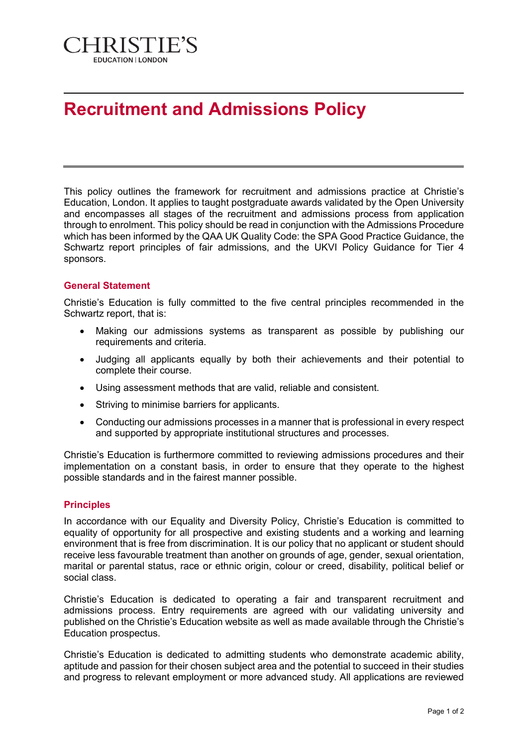

## **Recruitment and Admissions Policy**

This policy outlines the framework for recruitment and admissions practice at Christie's Education, London. It applies to taught postgraduate awards validated by the Open University and encompasses all stages of the recruitment and admissions process from application through to enrolment. This policy should be read in conjunction with the Admissions Procedure which has been informed by the QAA UK Quality Code: the SPA Good Practice Guidance, the Schwartz report principles of fair admissions, and the UKVI Policy Guidance for Tier 4 sponsors.

## **General Statement**

Christie's Education is fully committed to the five central principles recommended in the Schwartz report, that is:

- Making our admissions systems as transparent as possible by publishing our requirements and criteria.
- Judging all applicants equally by both their achievements and their potential to complete their course.
- Using assessment methods that are valid, reliable and consistent.
- Striving to minimise barriers for applicants.
- Conducting our admissions processes in a manner that is professional in every respect and supported by appropriate institutional structures and processes.

Christie's Education is furthermore committed to reviewing admissions procedures and their implementation on a constant basis, in order to ensure that they operate to the highest possible standards and in the fairest manner possible.

## **Principles**

In accordance with our Equality and Diversity Policy, Christie's Education is committed to equality of opportunity for all prospective and existing students and a working and learning environment that is free from discrimination. It is our policy that no applicant or student should receive less favourable treatment than another on grounds of age, gender, sexual orientation, marital or parental status, race or ethnic origin, colour or creed, disability, political belief or social class.

Christie's Education is dedicated to operating a fair and transparent recruitment and admissions process. Entry requirements are agreed with our validating university and published on the Christie's Education website as well as made available through the Christie's Education prospectus.

Christie's Education is dedicated to admitting students who demonstrate academic ability, aptitude and passion for their chosen subject area and the potential to succeed in their studies and progress to relevant employment or more advanced study. All applications are reviewed